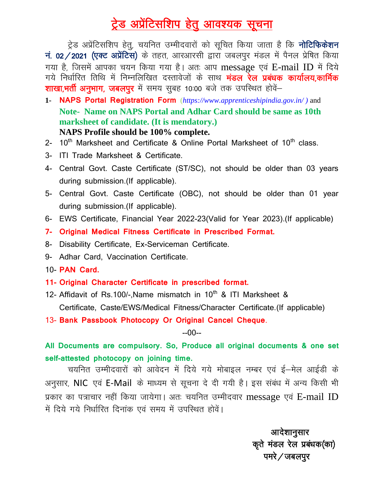## ट्रेड अप्रेंटिसशिप हेतु आवश्यक सूचना

ट्रेड अप्रेंटिसशिप हेतु, चयनित उम्मीदवारों को सूचित किया जाता है कि **नोटिफिकेशन** नं. 02/2021 (एक्ट अप्रेंटिस) के तहत, आरआरसी द्वारा जबलपुर मंडल में पैनल प्रेषित किया गया है, जिसमें आपका चयन किया गया है। अतः आप message एवं E-mail ID में दिये गये निर्धारित तिथि में निम्नलिखित दस्तावेजों के साथ **मंडल रेल प्रबंधक कार्यालय,कार्मिक** शाखा,भर्ती अनुभाग, जबलपुर में समय सुबह 10:00 बजे तक उपस्थित होवें–

- **1- NAPS Portal Registration Form** (*[https://www.apprenticeshipindia.gov.in/ \)](https://www.apprenticeshipindia.gov.in/%20)%20and)* and **Note- Name on NAPS Portal and Adhar Card should be same as 10th marksheet of candidate. (It is mendatory.) NAPS Profile should be 100% complete.**
- 2-  $10^{th}$  Marksheet and Certificate & Online Portal Marksheet of  $10^{th}$  class.
- 3- ITI Trade Marksheet & Certificate.
- 4- Central Govt. Caste Certificate (ST/SC), not should be older than 03 years during submission.(If applicable).
- 5- Central Govt. Caste Certificate (OBC), not should be older than 01 year during submission.(If applicable).
- 6- EWS Certificate, Financial Year 2022-23(Valid for Year 2023).(If applicable)
- **7- Original Medical Fitness Certificate in Prescribed Format.**
- 8- Disability Certificate, Ex-Serviceman Certificate.
- 9- Adhar Card, Vaccination Certificate.
- 10- **PAN Card.**
- **11- Original Character Certificate in prescribed format.**
- 12- Affidavit of Rs.100/-.Name mismatch in 10<sup>th</sup> & ITI Marksheet & Certificate, Caste/EWS/Medical Fitness/Character Certificate.(If applicable)
- 13- **Bank Passbook Photocopy Or Original Cancel Cheque**.

--00--

**All Documents are compulsory. So, Produce all original documents & one set self-attested photocopy on joining time.**

चयनित उम्मीदवारों को आवेदन में दिये गये मोबाइल नम्बर एवं ई-मेल आईडी के अनुसार, NIC एवं E-Mail के माध्यम से सूचना दे दी गयी है। इस संबंध में अन्य किसी भी प्रकार का पत्राचार नहीं किया जायेगा। अतः चयनित उम्मीदवार message एवं E-mail ID में दिये गये निर्धारित दिनांक एवं समय में उपस्थित होवें।

> आदेशानुसार कूते मंडल रेल प्रबंधक(का) पमरे $\sqrt{ }$ जबलपुर